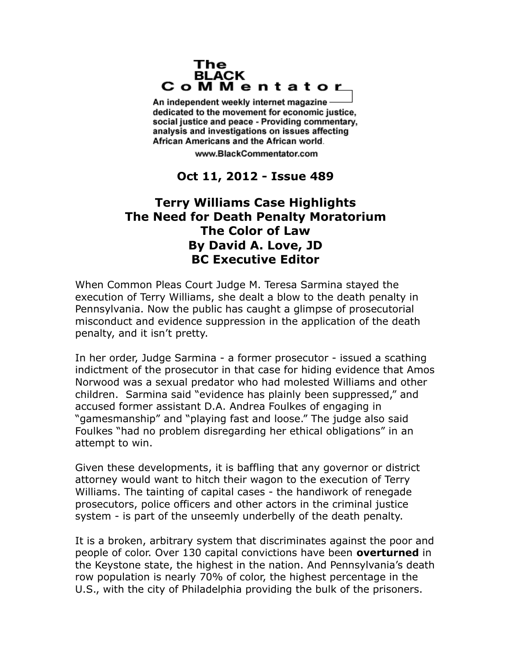## The **BLACK** CoMMentator

An independent weekly internet magazine dedicated to the movement for economic justice. social justice and peace - Providing commentary, analysis and investigations on issues affecting African Americans and the African world.

www.BlackCommentator.com

## **Oct 11, 2012 - Issue 489**

## **Terry Williams Case Highlights The Need for Death Penalty Moratorium The Color of Law By David A. Love, JD BC Executive Editor**

When Common Pleas Court Judge M. Teresa Sarmina stayed the execution of Terry Williams, she dealt a blow to the death penalty in Pennsylvania. Now the public has caught a glimpse of prosecutorial misconduct and evidence suppression in the application of the death penalty, and it isn't pretty.

In her order, Judge Sarmina - a former prosecutor - issued a scathing indictment of the prosecutor in that case for hiding evidence that Amos Norwood was a sexual predator who had molested Williams and other children. Sarmina said "evidence has plainly been suppressed," and accused former assistant D.A. Andrea Foulkes of engaging in "gamesmanship" and "playing fast and loose." The judge also said Foulkes "had no problem disregarding her ethical obligations" in an attempt to win.

Given these developments, it is baffling that any governor or district attorney would want to hitch their wagon to the execution of Terry Williams. The tainting of capital cases - the handiwork of renegade prosecutors, police officers and other actors in the criminal justice system - is part of the unseemly underbelly of the death penalty.

It is a broken, arbitrary system that discriminates against the poor and people of color. Over 130 capital convictions have been **[overturned](http://articles.mcall.com/2012-08-04/news/mc-pennsylvania-death-row-cruel-unusual-20120804_1_death-row-inmates-critics-of-capital-punishment-death-row/2)** in the Keystone state, the highest in the nation. And Pennsylvania's death row population is nearly 70% of color, the highest percentage in the U.S., with the city of Philadelphia providing the bulk of the prisoners.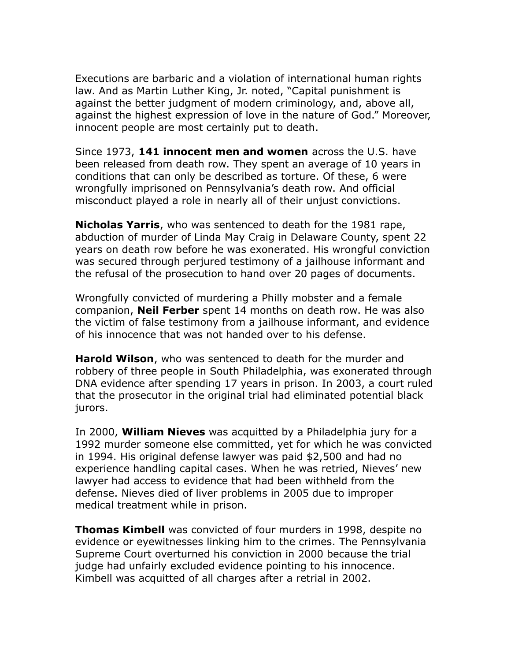Executions are barbaric and a violation of international human rights law. And as Martin Luther King, Jr. noted, "Capital punishment is against the better judgment of modern criminology, and, above all, against the highest expression of love in the nature of God." Moreover, innocent people are most certainly put to death.

Since 1973, **[141 innocent men and women](http://www.deathpenaltyinfo.org/innocence-list-those-freed-death-row)** across the U.S. have been released from death row. They spent an average of 10 years in conditions that can only be described as torture. Of these, 6 were wrongfully imprisoned on Pennsylvania's death row. And official misconduct played a role in nearly all of their unjust convictions.

**[Nicholas Yarris](http://www.innocenceproject.org/Content/Nicholas_Yarris.php)**, who was sentenced to death for the 1981 rape, abduction of murder of Linda May Craig in Delaware County, spent 22 years on death row before he was exonerated. His wrongful conviction was secured through perjured testimony of a jailhouse informant and the refusal of the prosecution to hand over 20 pages of documents.

Wrongfully convicted of murdering a Philly mobster and a female companion, **[Neil Ferber](http://articles.philly.com/2008-12-23/news/25243543_1_mob-boss-mob-informants-sketch)** spent 14 months on death row. He was also the victim of false testimony from a jailhouse informant, and evidence of his innocence that was not handed over to his defense.

**[Harold Wilson](http://www.democracynow.org/2005/12/20/the_story_of_harold_wilson_convicted)**, who was sentenced to death for the murder and robbery of three people in South Philadelphia, was exonerated through DNA evidence after spending 17 years in prison. In 2003, a court ruled that the prosecutor in the original trial had eliminated potential black jurors.

In 2000, **[William Nieves](http://www.phillyimc.org/en/node/42937)** was acquitted by a Philadelphia jury for a 1992 murder someone else committed, yet for which he was convicted in 1994. His original defense lawyer was paid \$2,500 and had no experience handling capital cases. When he was retried, Nieves' new lawyer had access to evidence that had been withheld from the defense. Nieves died of liver problems in 2005 due to improper medical treatment while in prison.

**[Thomas Kimbell](http://www.aclupa.org/downloads/CaseofThomasKimbell.pdf)** was convicted of four murders in 1998, despite no evidence or eyewitnesses linking him to the crimes. The Pennsylvania Supreme Court overturned his conviction in 2000 because the trial judge had unfairly excluded evidence pointing to his innocence. Kimbell was acquitted of all charges after a retrial in 2002.